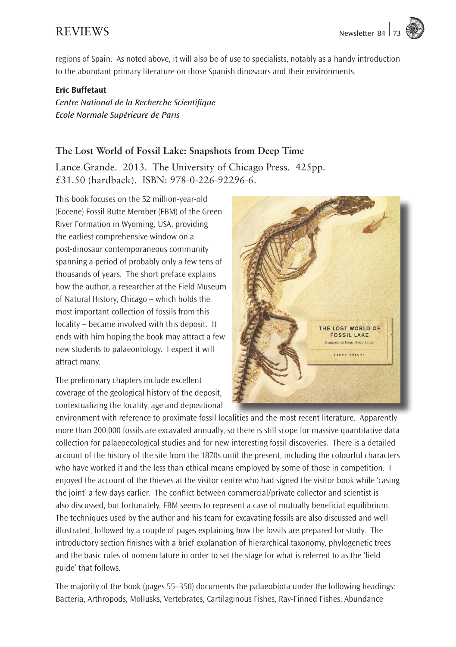

regions of Spain. As noted above, it will also be of use to specialists, notably as a handy introduction to the abundant primary literature on those Spanish dinosaurs and their environments.

## Eric Buffetaut

*Centre National de la Recherche Scientifique Ecole Normale Supérieure de Paris*

## **The Lost World of Fossil Lake: Snapshots from Deep Time**

Lance Grande. 2013. The University of Chicago Press. 425pp. £31.50 (hardback). ISBN: 978-0-226-92296-6.

This book focuses on the 52 million-year-old (Eocene) Fossil Butte Member (FBM) of the Green River Formation in Wyoming, USA, providing the earliest comprehensive window on a post-dinosaur contemporaneous community spanning a period of probably only a few tens of thousands of years. The short preface explains how the author, a researcher at the Field Museum of Natural History, Chicago – which holds the most important collection of fossils from this locality – became involved with this deposit. It ends with him hoping the book may attract a few new students to palaeontology. I expect it will attract many.

The preliminary chapters include excellent coverage of the geological history of the deposit, contextualizing the locality, age and depositional



environment with reference to proximate fossil localities and the most recent literature. Apparently more than 200,000 fossils are excavated annually, so there is still scope for massive quantitative data collection for palaeoecological studies and for new interesting fossil discoveries. There is a detailed account of the history of the site from the 1870s until the present, including the colourful characters who have worked it and the less than ethical means employed by some of those in competition. I enjoyed the account of the thieves at the visitor centre who had signed the visitor book while 'casing the joint' a few days earlier. The conflict between commercial/private collector and scientist is also discussed, but fortunately, FBM seems to represent a case of mutually beneficial equilibrium. The techniques used by the author and his team for excavating fossils are also discussed and well illustrated, followed by a couple of pages explaining how the fossils are prepared for study. The introductory section finishes with a brief explanation of hierarchical taxonomy, phylogenetic trees and the basic rules of nomenclature in order to set the stage for what is referred to as the 'field guide' that follows.

The majority of the book (pages 55–350) documents the palaeobiota under the following headings: Bacteria, Arthropods, Mollusks, Vertebrates, Cartilaginous Fishes, Ray-Finned Fishes, Abundance